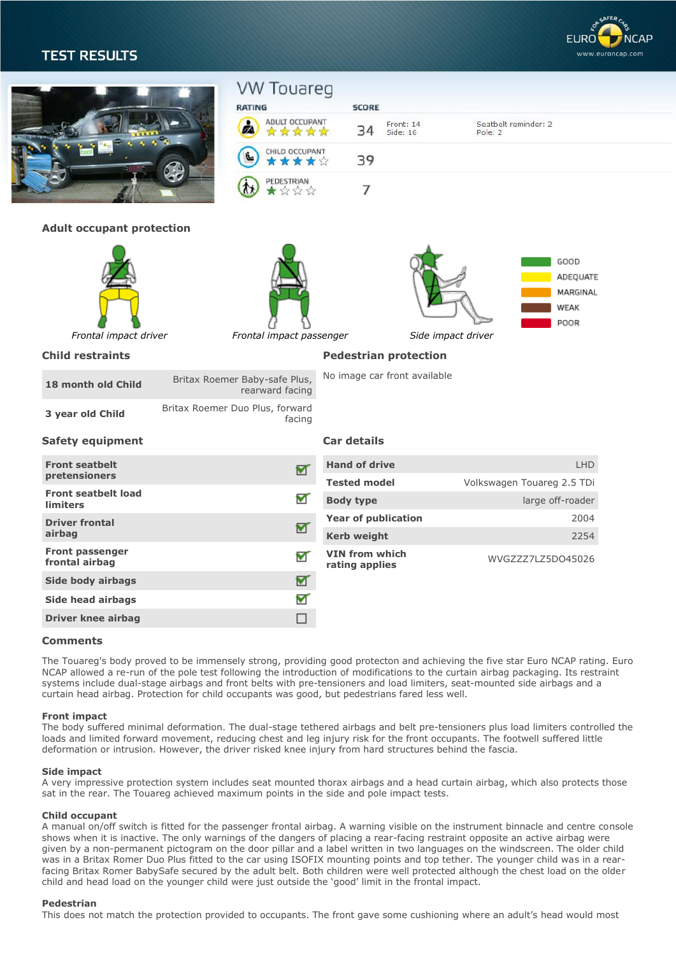# **TEST RESULTS**



|                                               | <b>VW Touareg</b><br><b>RATING</b>               | <b>SCORE</b>                 |                                         |                                 |                      |
|-----------------------------------------------|--------------------------------------------------|------------------------------|-----------------------------------------|---------------------------------|----------------------|
|                                               | ADULT OCCUPANT<br>☆☆☆☆☆                          | 34                           | Front: 14<br>Side: 16                   | Seatbelt reminder: 2<br>Pole: 2 |                      |
|                                               | CHILD OCCUPANT<br>*****                          | 39                           |                                         |                                 |                      |
|                                               | <b>PEDESTRIAN</b>                                | $\overline{7}$               |                                         |                                 |                      |
| <b>Adult occupant protection</b>              |                                                  |                              |                                         |                                 |                      |
| Frontal impact driver                         | Frontal impact passenger                         |                              | Side impact driver                      | GOOD<br>WEAK<br>POOR            | ADEQUATE<br>MARGINAL |
| <b>Child restraints</b>                       |                                                  | <b>Pedestrian protection</b> |                                         |                                 |                      |
| 18 month old Child                            | Britax Roemer Baby-safe Plus,<br>rearward facing | No image car front available |                                         |                                 |                      |
| 3 year old Child                              | Britax Roemer Duo Plus, forward<br>facing        |                              |                                         |                                 |                      |
| <b>Safety equipment</b>                       |                                                  | <b>Car details</b>           |                                         |                                 |                      |
| <b>Front seatbelt</b>                         | ₩                                                | <b>Hand of drive</b>         |                                         |                                 | <b>LHD</b>           |
| pretensioners                                 |                                                  | <b>Tested model</b>          |                                         | Volkswagen Touareg 2.5 TDi      |                      |
| <b>Front seatbelt load</b><br><b>limiters</b> | ┳                                                | <b>Body type</b>             |                                         | large off-roader                |                      |
| <b>Driver frontal</b>                         | M                                                | <b>Year of publication</b>   |                                         |                                 | 2004                 |
| airbag                                        |                                                  | <b>Kerb weight</b>           |                                         |                                 | 2254                 |
| <b>Front passenger</b><br>frontal airbag      | ▼                                                |                              | <b>VIN from which</b><br>rating applies | WVGZZZ7LZ5DO45026               |                      |
| Side body airbags                             | ⊻                                                |                              |                                         |                                 |                      |
| Side head airbags                             | ᢦ                                                |                              |                                         |                                 |                      |
| <b>Driver knee airbag</b>                     | П                                                |                              |                                         |                                 |                      |
| Comments                                      |                                                  |                              |                                         |                                 |                      |

The Touareg's body proved to be immensely strong, providing good protecton and achieving the five star Euro NCAP rating. Euro NCAP allowed a re-run of the pole test following the introduction of modifications to the curtain airbag packaging. Its restraint systems include dual-stage airbags and front belts with pre-tensioners and load limiters, seat-mounted side airbags and a curtain head airbag. Protection for child occupants was good, but pedestrians fared less well.

# **Front impact**

The body suffered minimal deformation. The dual-stage tethered airbags and belt pre-tensioners plus load limiters controlled the loads and limited forward movement, reducing chest and leg injury risk for the front occupants. The footwell suffered little deformation or intrusion. However, the driver risked knee injury from hard structures behind the fascia.

### **Side impact**

A very impressive protection system includes seat mounted thorax airbags and a head curtain airbag, which also protects those sat in the rear. The Touareg achieved maximum points in the side and pole impact tests.

# **Child occupant**

A manual on/off switch is fitted for the passenger frontal airbag. A warning visible on the instrument binnacle and centre console shows when it is inactive. The only warnings of the dangers of placing a rear-facing restraint opposite an active airbag were given by a non-permanent pictogram on the door pillar and a label written in two languages on the windscreen. The older child was in a Britax Romer Duo Plus fitted to the car using ISOFIX mounting points and top tether. The younger child was in a rearfacing Britax Romer BabySafe secured by the adult belt. Both children were well protected although the chest load on the older child and head load on the younger child were just outside the 'good' limit in the frontal impact.

### **Pedestrian**

This does not match the protection provided to occupants. The front gave some cushioning where an adult's head would most